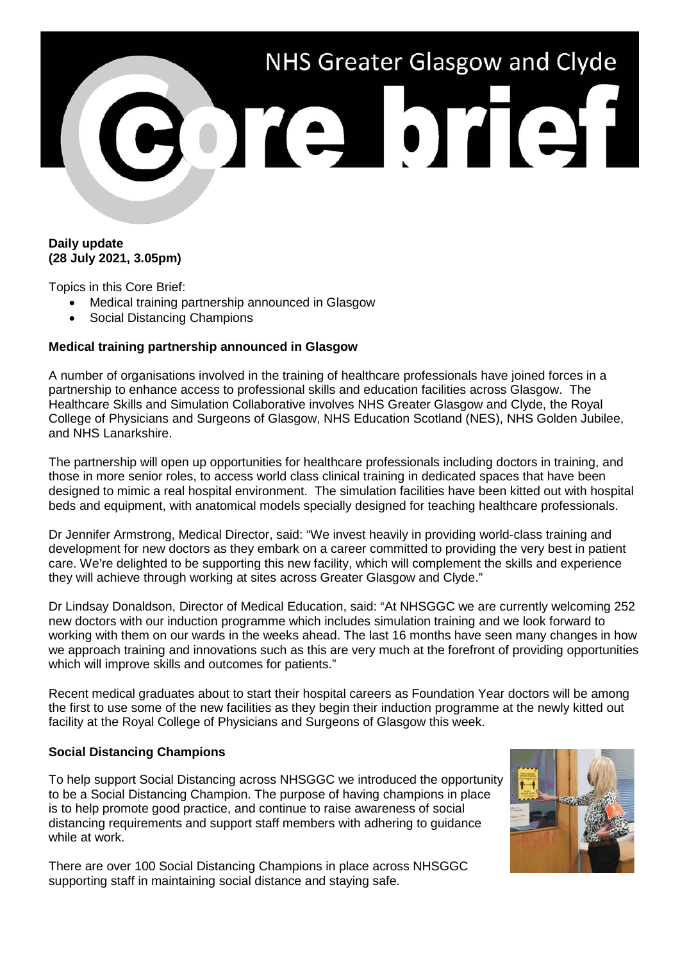

## **Daily update (28 July 2021, 3.05pm)**

Topics in this Core Brief:

- Medical training partnership announced in Glasgow
- Social Distancing Champions

## **Medical training partnership announced in Glasgow**

A number of organisations involved in the training of healthcare professionals have joined forces in a partnership to enhance access to professional skills and education facilities across Glasgow. The Healthcare Skills and Simulation Collaborative involves NHS Greater Glasgow and Clyde, the Royal College of Physicians and Surgeons of Glasgow, NHS Education Scotland (NES), NHS Golden Jubilee, and NHS Lanarkshire.

The partnership will open up opportunities for healthcare professionals including doctors in training, and those in more senior roles, to access world class clinical training in dedicated spaces that have been designed to mimic a real hospital environment. The simulation facilities have been kitted out with hospital beds and equipment, with anatomical models specially designed for teaching healthcare professionals.

Dr Jennifer Armstrong, Medical Director, said: "We invest heavily in providing world-class training and development for new doctors as they embark on a career committed to providing the very best in patient care. We're delighted to be supporting this new facility, which will complement the skills and experience they will achieve through working at sites across Greater Glasgow and Clyde."

Dr Lindsay Donaldson, Director of Medical Education, said: "At NHSGGC we are currently welcoming 252 new doctors with our induction programme which includes simulation training and we look forward to working with them on our wards in the weeks ahead. The last 16 months have seen many changes in how we approach training and innovations such as this are very much at the forefront of providing opportunities which will improve skills and outcomes for patients."

Recent medical graduates about to start their hospital careers as Foundation Year doctors will be among the first to use some of the new facilities as they begin their induction programme at the newly kitted out facility at the Royal College of Physicians and Surgeons of Glasgow this week.

## **Social Distancing Champions**

To help support Social Distancing across NHSGGC we introduced the opportunity to be a Social Distancing Champion. The purpose of having champions in place is to help promote good practice, and continue to raise awareness of social distancing requirements and support staff members with adhering to guidance while at work.

There are over 100 Social Distancing Champions in place across NHSGGC supporting staff in maintaining social distance and staying safe.